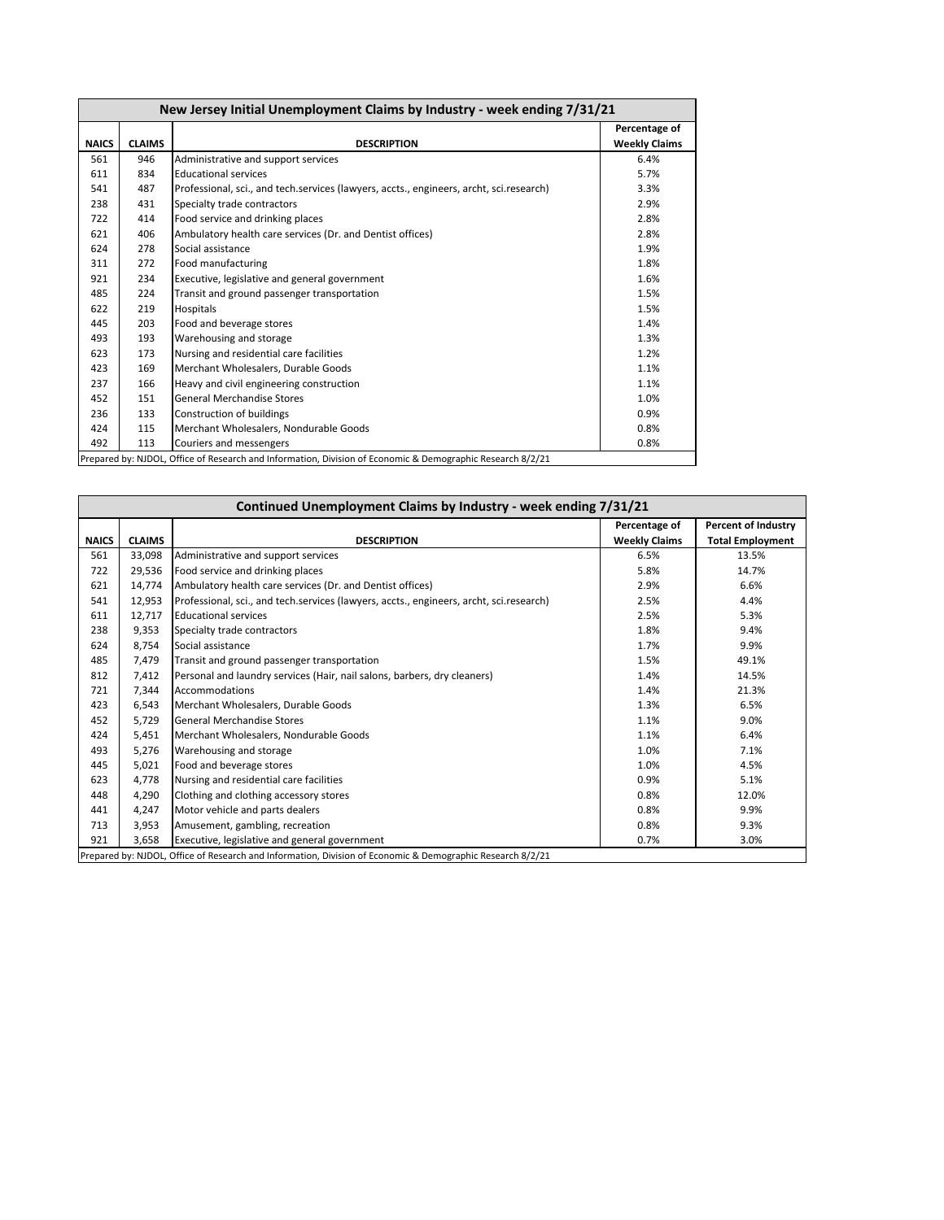| New Jersey Initial Unemployment Claims by Industry - week ending 7/31/21 |               |                                                                                         |                                       |  |  |
|--------------------------------------------------------------------------|---------------|-----------------------------------------------------------------------------------------|---------------------------------------|--|--|
| <b>NAICS</b>                                                             | <b>CLAIMS</b> | <b>DESCRIPTION</b>                                                                      | Percentage of<br><b>Weekly Claims</b> |  |  |
| 561                                                                      | 946           | Administrative and support services                                                     | 6.4%                                  |  |  |
| 611                                                                      | 834           | <b>Educational services</b>                                                             | 5.7%                                  |  |  |
| 541                                                                      | 487           | Professional, sci., and tech.services (lawyers, accts., engineers, archt, sci.research) | 3.3%                                  |  |  |
| 238                                                                      | 431           | Specialty trade contractors                                                             | 2.9%                                  |  |  |
| 722                                                                      | 414           | Food service and drinking places                                                        | 2.8%                                  |  |  |
| 621                                                                      | 406           | Ambulatory health care services (Dr. and Dentist offices)                               | 2.8%                                  |  |  |
| 624                                                                      | 278           | Social assistance                                                                       | 1.9%                                  |  |  |
| 311                                                                      | 272           | Food manufacturing                                                                      | 1.8%                                  |  |  |
| 921                                                                      | 234           | Executive, legislative and general government                                           | 1.6%                                  |  |  |
| 485                                                                      | 224           | Transit and ground passenger transportation                                             | 1.5%                                  |  |  |
| 622                                                                      | 219           | Hospitals                                                                               | 1.5%                                  |  |  |
| 445                                                                      | 203           | Food and beverage stores                                                                | 1.4%                                  |  |  |
| 493                                                                      | 193           | Warehousing and storage                                                                 | 1.3%                                  |  |  |
| 623                                                                      | 173           | Nursing and residential care facilities                                                 | 1.2%                                  |  |  |
| 423                                                                      | 169           | Merchant Wholesalers, Durable Goods                                                     | 1.1%                                  |  |  |
| 237                                                                      | 166           | Heavy and civil engineering construction                                                | 1.1%                                  |  |  |
| 452                                                                      | 151           | <b>General Merchandise Stores</b>                                                       | 1.0%                                  |  |  |
| 236                                                                      | 133           | Construction of buildings                                                               | 0.9%                                  |  |  |
| 424                                                                      | 115           | Merchant Wholesalers, Nondurable Goods                                                  | 0.8%                                  |  |  |
| 492                                                                      | 113           | Couriers and messengers                                                                 | 0.8%                                  |  |  |

| <b>Percent of Industry</b><br>Percentage of<br><b>Weekly Claims</b><br><b>Total Employment</b><br><b>CLAIMS</b><br><b>NAICS</b><br><b>DESCRIPTION</b><br>561<br>33,098<br>Administrative and support services<br>6.5%<br>13.5%<br>29,536<br>Food service and drinking places<br>722<br>5.8%<br>14.7%<br>Ambulatory health care services (Dr. and Dentist offices)<br>6.6%<br>621<br>14,774<br>2.9%<br>Professional, sci., and tech.services (lawyers, accts., engineers, archt, sci.research)<br>541<br>12,953<br>2.5%<br>4.4%<br>12.717<br><b>Educational services</b><br>5.3%<br>611<br>2.5%<br>238<br>9,353<br>Specialty trade contractors<br>1.8%<br>9.4%<br>624<br>8,754<br>Social assistance<br>1.7%<br>9.9%<br>485<br>7,479<br>Transit and ground passenger transportation<br>1.5%<br>49.1%<br>812<br>Personal and laundry services (Hair, nail salons, barbers, dry cleaners)<br>1.4%<br>14.5%<br>7,412<br>7,344<br>Accommodations<br>1.4%<br>21.3%<br>721<br>6.5%<br>423<br>6,543<br>Merchant Wholesalers, Durable Goods<br>1.3%<br>5,729<br><b>General Merchandise Stores</b><br>9.0%<br>452<br>1.1%<br>6.4%<br>424<br>5,451<br>Merchant Wholesalers, Nondurable Goods<br>1.1%<br>5,276<br>7.1%<br>493<br>Warehousing and storage<br>1.0%<br>5,021<br>Food and beverage stores<br>1.0%<br>4.5%<br>445<br>5.1%<br>623<br>4,778<br>Nursing and residential care facilities<br>0.9%<br>Clothing and clothing accessory stores<br>448<br>4,290<br>0.8%<br>12.0%<br>4,247<br>Motor vehicle and parts dealers<br>0.8%<br>9.9%<br>441 | Continued Unemployment Claims by Industry - week ending 7/31/21 |       |                                 |      |      |  |  |  |
|------------------------------------------------------------------------------------------------------------------------------------------------------------------------------------------------------------------------------------------------------------------------------------------------------------------------------------------------------------------------------------------------------------------------------------------------------------------------------------------------------------------------------------------------------------------------------------------------------------------------------------------------------------------------------------------------------------------------------------------------------------------------------------------------------------------------------------------------------------------------------------------------------------------------------------------------------------------------------------------------------------------------------------------------------------------------------------------------------------------------------------------------------------------------------------------------------------------------------------------------------------------------------------------------------------------------------------------------------------------------------------------------------------------------------------------------------------------------------------------------------------------------------------------|-----------------------------------------------------------------|-------|---------------------------------|------|------|--|--|--|
|                                                                                                                                                                                                                                                                                                                                                                                                                                                                                                                                                                                                                                                                                                                                                                                                                                                                                                                                                                                                                                                                                                                                                                                                                                                                                                                                                                                                                                                                                                                                          |                                                                 |       |                                 |      |      |  |  |  |
|                                                                                                                                                                                                                                                                                                                                                                                                                                                                                                                                                                                                                                                                                                                                                                                                                                                                                                                                                                                                                                                                                                                                                                                                                                                                                                                                                                                                                                                                                                                                          |                                                                 |       |                                 |      |      |  |  |  |
|                                                                                                                                                                                                                                                                                                                                                                                                                                                                                                                                                                                                                                                                                                                                                                                                                                                                                                                                                                                                                                                                                                                                                                                                                                                                                                                                                                                                                                                                                                                                          |                                                                 |       |                                 |      |      |  |  |  |
|                                                                                                                                                                                                                                                                                                                                                                                                                                                                                                                                                                                                                                                                                                                                                                                                                                                                                                                                                                                                                                                                                                                                                                                                                                                                                                                                                                                                                                                                                                                                          |                                                                 |       |                                 |      |      |  |  |  |
|                                                                                                                                                                                                                                                                                                                                                                                                                                                                                                                                                                                                                                                                                                                                                                                                                                                                                                                                                                                                                                                                                                                                                                                                                                                                                                                                                                                                                                                                                                                                          |                                                                 |       |                                 |      |      |  |  |  |
|                                                                                                                                                                                                                                                                                                                                                                                                                                                                                                                                                                                                                                                                                                                                                                                                                                                                                                                                                                                                                                                                                                                                                                                                                                                                                                                                                                                                                                                                                                                                          |                                                                 |       |                                 |      |      |  |  |  |
|                                                                                                                                                                                                                                                                                                                                                                                                                                                                                                                                                                                                                                                                                                                                                                                                                                                                                                                                                                                                                                                                                                                                                                                                                                                                                                                                                                                                                                                                                                                                          |                                                                 |       |                                 |      |      |  |  |  |
|                                                                                                                                                                                                                                                                                                                                                                                                                                                                                                                                                                                                                                                                                                                                                                                                                                                                                                                                                                                                                                                                                                                                                                                                                                                                                                                                                                                                                                                                                                                                          |                                                                 |       |                                 |      |      |  |  |  |
|                                                                                                                                                                                                                                                                                                                                                                                                                                                                                                                                                                                                                                                                                                                                                                                                                                                                                                                                                                                                                                                                                                                                                                                                                                                                                                                                                                                                                                                                                                                                          |                                                                 |       |                                 |      |      |  |  |  |
|                                                                                                                                                                                                                                                                                                                                                                                                                                                                                                                                                                                                                                                                                                                                                                                                                                                                                                                                                                                                                                                                                                                                                                                                                                                                                                                                                                                                                                                                                                                                          |                                                                 |       |                                 |      |      |  |  |  |
|                                                                                                                                                                                                                                                                                                                                                                                                                                                                                                                                                                                                                                                                                                                                                                                                                                                                                                                                                                                                                                                                                                                                                                                                                                                                                                                                                                                                                                                                                                                                          |                                                                 |       |                                 |      |      |  |  |  |
|                                                                                                                                                                                                                                                                                                                                                                                                                                                                                                                                                                                                                                                                                                                                                                                                                                                                                                                                                                                                                                                                                                                                                                                                                                                                                                                                                                                                                                                                                                                                          |                                                                 |       |                                 |      |      |  |  |  |
|                                                                                                                                                                                                                                                                                                                                                                                                                                                                                                                                                                                                                                                                                                                                                                                                                                                                                                                                                                                                                                                                                                                                                                                                                                                                                                                                                                                                                                                                                                                                          |                                                                 |       |                                 |      |      |  |  |  |
|                                                                                                                                                                                                                                                                                                                                                                                                                                                                                                                                                                                                                                                                                                                                                                                                                                                                                                                                                                                                                                                                                                                                                                                                                                                                                                                                                                                                                                                                                                                                          |                                                                 |       |                                 |      |      |  |  |  |
|                                                                                                                                                                                                                                                                                                                                                                                                                                                                                                                                                                                                                                                                                                                                                                                                                                                                                                                                                                                                                                                                                                                                                                                                                                                                                                                                                                                                                                                                                                                                          |                                                                 |       |                                 |      |      |  |  |  |
|                                                                                                                                                                                                                                                                                                                                                                                                                                                                                                                                                                                                                                                                                                                                                                                                                                                                                                                                                                                                                                                                                                                                                                                                                                                                                                                                                                                                                                                                                                                                          |                                                                 |       |                                 |      |      |  |  |  |
|                                                                                                                                                                                                                                                                                                                                                                                                                                                                                                                                                                                                                                                                                                                                                                                                                                                                                                                                                                                                                                                                                                                                                                                                                                                                                                                                                                                                                                                                                                                                          |                                                                 |       |                                 |      |      |  |  |  |
|                                                                                                                                                                                                                                                                                                                                                                                                                                                                                                                                                                                                                                                                                                                                                                                                                                                                                                                                                                                                                                                                                                                                                                                                                                                                                                                                                                                                                                                                                                                                          |                                                                 |       |                                 |      |      |  |  |  |
|                                                                                                                                                                                                                                                                                                                                                                                                                                                                                                                                                                                                                                                                                                                                                                                                                                                                                                                                                                                                                                                                                                                                                                                                                                                                                                                                                                                                                                                                                                                                          |                                                                 |       |                                 |      |      |  |  |  |
|                                                                                                                                                                                                                                                                                                                                                                                                                                                                                                                                                                                                                                                                                                                                                                                                                                                                                                                                                                                                                                                                                                                                                                                                                                                                                                                                                                                                                                                                                                                                          |                                                                 |       |                                 |      |      |  |  |  |
|                                                                                                                                                                                                                                                                                                                                                                                                                                                                                                                                                                                                                                                                                                                                                                                                                                                                                                                                                                                                                                                                                                                                                                                                                                                                                                                                                                                                                                                                                                                                          | 713                                                             | 3,953 | Amusement, gambling, recreation | 0.8% | 9.3% |  |  |  |
| 921<br>Executive, legislative and general government<br>0.7%<br>3.0%<br>3,658                                                                                                                                                                                                                                                                                                                                                                                                                                                                                                                                                                                                                                                                                                                                                                                                                                                                                                                                                                                                                                                                                                                                                                                                                                                                                                                                                                                                                                                            |                                                                 |       |                                 |      |      |  |  |  |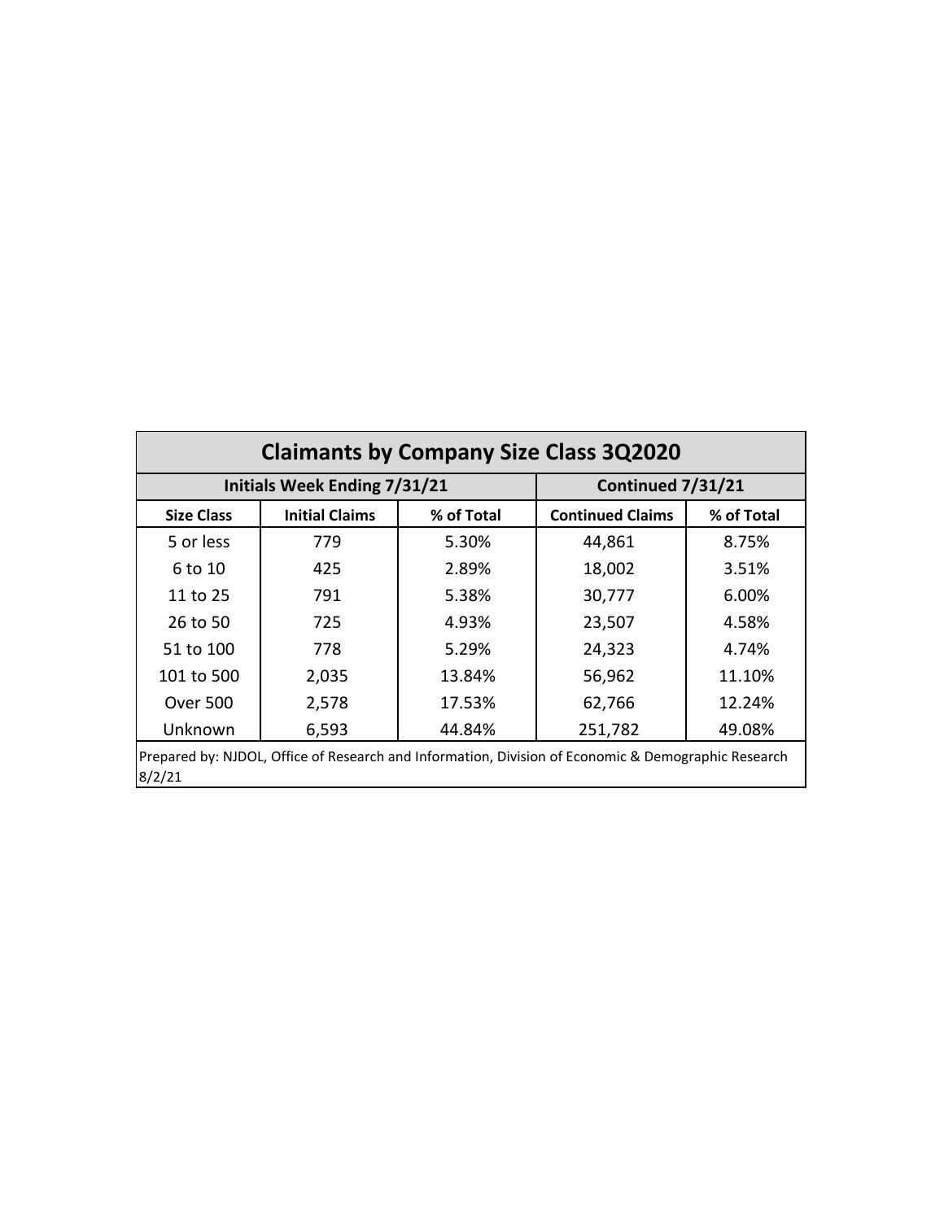| <b>Claimants by Company Size Class 3Q2020</b>                                                                 |                                     |       |        |       |  |  |  |  |
|---------------------------------------------------------------------------------------------------------------|-------------------------------------|-------|--------|-------|--|--|--|--|
| <b>Initials Week Ending 7/31/21</b><br>Continued 7/31/21                                                      |                                     |       |        |       |  |  |  |  |
| <b>Initial Claims</b><br>% of Total<br><b>Continued Claims</b><br>% of Total<br><b>Size Class</b>             |                                     |       |        |       |  |  |  |  |
| 5 or less                                                                                                     | 779                                 | 5.30% | 44,861 | 8.75% |  |  |  |  |
| 425<br>2.89%<br>18,002<br>3.51%<br>6 to 10                                                                    |                                     |       |        |       |  |  |  |  |
| 30,777<br>11 to 25<br>5.38%<br>6.00%<br>791                                                                   |                                     |       |        |       |  |  |  |  |
| 23,507<br>26 to 50<br>725<br>4.58%<br>4.93%                                                                   |                                     |       |        |       |  |  |  |  |
| 51 to 100<br>5.29%<br>24,323<br>778<br>4.74%                                                                  |                                     |       |        |       |  |  |  |  |
| 101 to 500                                                                                                    | 2,035<br>56,962<br>11.10%<br>13.84% |       |        |       |  |  |  |  |
| 12.24%<br><b>Over 500</b><br>2,578<br>17.53%<br>62,766                                                        |                                     |       |        |       |  |  |  |  |
| Unknown<br>251,782<br>49.08%<br>6,593<br>44.84%                                                               |                                     |       |        |       |  |  |  |  |
| Prepared by: NJDOL, Office of Research and Information, Division of Economic & Demographic Research<br>8/2/21 |                                     |       |        |       |  |  |  |  |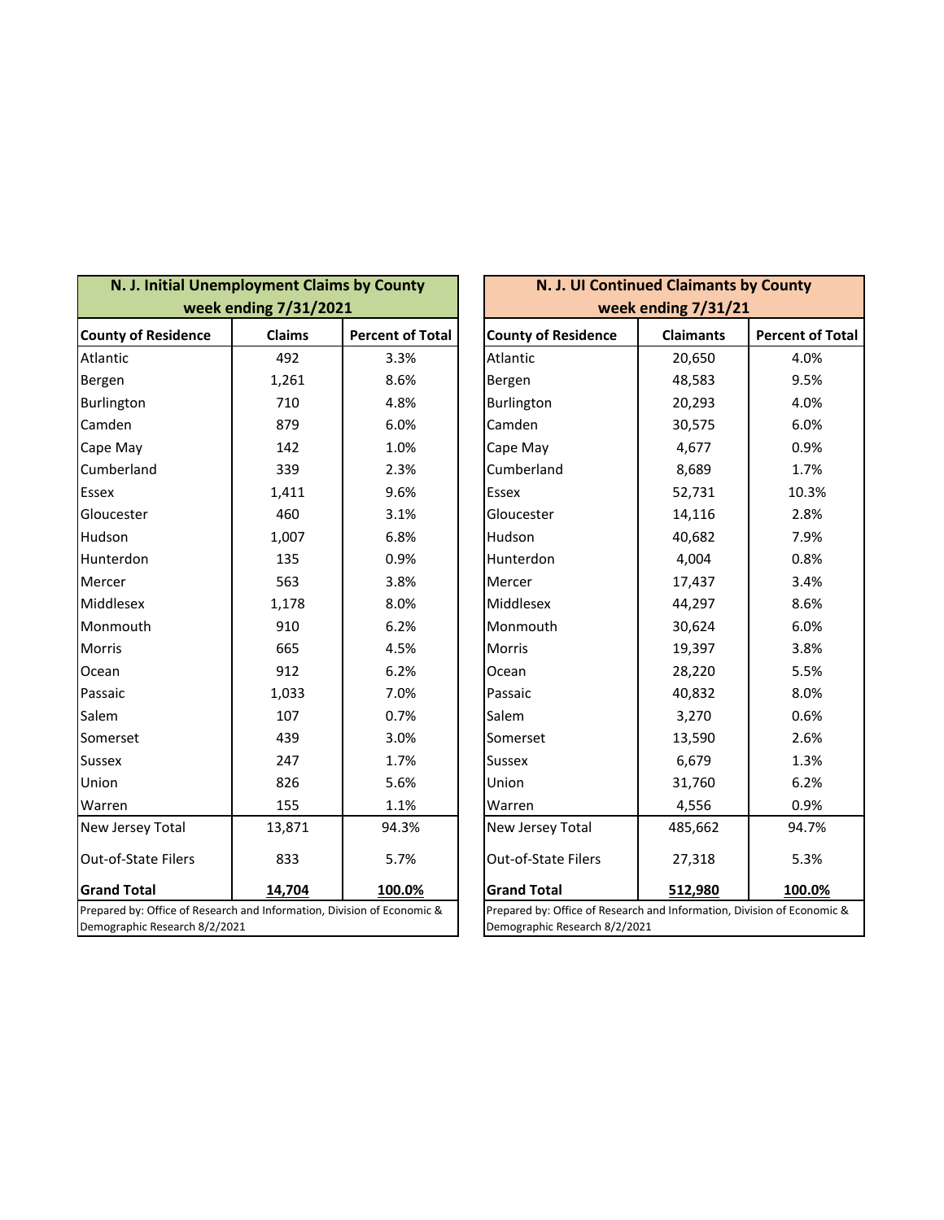| N. J. Initial Unemployment Claims by County<br>week ending 7/31/2021                                     |               |                         |  | N. J. UI Continued Claimants by County<br>week ending 7/31/21                                            |                  |                         |  |
|----------------------------------------------------------------------------------------------------------|---------------|-------------------------|--|----------------------------------------------------------------------------------------------------------|------------------|-------------------------|--|
| <b>County of Residence</b>                                                                               | <b>Claims</b> | <b>Percent of Total</b> |  | <b>County of Residence</b>                                                                               | <b>Claimants</b> | <b>Percent of Total</b> |  |
| Atlantic                                                                                                 | 492           | 3.3%                    |  | Atlantic                                                                                                 | 20,650           | 4.0%                    |  |
| Bergen                                                                                                   | 1,261         | 8.6%                    |  | Bergen                                                                                                   | 48,583           | 9.5%                    |  |
| Burlington                                                                                               | 710           | 4.8%                    |  | Burlington                                                                                               | 20,293           | 4.0%                    |  |
| Camden                                                                                                   | 879           | 6.0%                    |  | Camden                                                                                                   | 30,575           | 6.0%                    |  |
| Cape May                                                                                                 | 142           | 1.0%                    |  | Cape May                                                                                                 | 4,677            | 0.9%                    |  |
| Cumberland                                                                                               | 339           | 2.3%                    |  | Cumberland                                                                                               | 8,689            | 1.7%                    |  |
| Essex                                                                                                    | 1,411         | 9.6%                    |  | Essex                                                                                                    | 52,731           | 10.3%                   |  |
| Gloucester                                                                                               | 460           | 3.1%                    |  | Gloucester                                                                                               | 14,116           | 2.8%                    |  |
| Hudson                                                                                                   | 1,007         | 6.8%                    |  | Hudson                                                                                                   | 40,682           | 7.9%                    |  |
| Hunterdon                                                                                                | 135           | 0.9%                    |  | Hunterdon                                                                                                | 4,004            | 0.8%                    |  |
| Mercer                                                                                                   | 563           | 3.8%                    |  | Mercer                                                                                                   | 17,437           | 3.4%                    |  |
| Middlesex                                                                                                | 1,178         | 8.0%                    |  | Middlesex                                                                                                | 44,297           | 8.6%                    |  |
| Monmouth                                                                                                 | 910           | 6.2%                    |  | Monmouth                                                                                                 | 30,624           | 6.0%                    |  |
| <b>Morris</b>                                                                                            | 665           | 4.5%                    |  | <b>Morris</b>                                                                                            | 19,397           | 3.8%                    |  |
| Ocean                                                                                                    | 912           | 6.2%                    |  | Ocean                                                                                                    | 28,220           | 5.5%                    |  |
| Passaic                                                                                                  | 1,033         | 7.0%                    |  | Passaic                                                                                                  | 40,832           | 8.0%                    |  |
| Salem                                                                                                    | 107           | 0.7%                    |  | Salem                                                                                                    | 3,270            | 0.6%                    |  |
| Somerset                                                                                                 | 439           | 3.0%                    |  | Somerset                                                                                                 | 13,590           | 2.6%                    |  |
| <b>Sussex</b>                                                                                            | 247           | 1.7%                    |  | <b>Sussex</b>                                                                                            | 6,679            | 1.3%                    |  |
| Union                                                                                                    | 826           | 5.6%                    |  | Union                                                                                                    | 31,760           | 6.2%                    |  |
| Warren                                                                                                   | 155           | 1.1%                    |  | Warren                                                                                                   | 4,556            | 0.9%                    |  |
| New Jersey Total                                                                                         | 13,871        | 94.3%                   |  | New Jersey Total                                                                                         | 485,662          | 94.7%                   |  |
| Out-of-State Filers                                                                                      | 833           | 5.7%                    |  | Out-of-State Filers                                                                                      | 27,318           | 5.3%                    |  |
| <b>Grand Total</b>                                                                                       | 14,704        | 100.0%                  |  | <b>Grand Total</b>                                                                                       | 512,980          | 100.0%                  |  |
| Prepared by: Office of Research and Information, Division of Economic &<br>Demographic Research 8/2/2021 |               |                         |  | Prepared by: Office of Research and Information, Division of Economic &<br>Demographic Research 8/2/2021 |                  |                         |  |

| N. J. UI Continued Claimants by County                                                                   |                  |                         |  |  |  |  |
|----------------------------------------------------------------------------------------------------------|------------------|-------------------------|--|--|--|--|
| week ending 7/31/21                                                                                      |                  |                         |  |  |  |  |
| <b>County of Residence</b>                                                                               | <b>Claimants</b> | <b>Percent of Total</b> |  |  |  |  |
| Atlantic                                                                                                 | 20,650           | 4.0%                    |  |  |  |  |
| Bergen                                                                                                   | 48,583           | 9.5%                    |  |  |  |  |
| Burlington                                                                                               | 20,293           | 4.0%                    |  |  |  |  |
| Camden                                                                                                   | 30,575           | 6.0%                    |  |  |  |  |
| Cape May                                                                                                 | 4,677            | 0.9%                    |  |  |  |  |
| Cumberland                                                                                               | 8,689            | 1.7%                    |  |  |  |  |
| Essex                                                                                                    | 52,731           | 10.3%                   |  |  |  |  |
| Gloucester                                                                                               | 14,116           | 2.8%                    |  |  |  |  |
| Hudson                                                                                                   | 40,682           | 7.9%                    |  |  |  |  |
| 4,004<br>Hunterdon<br>0.8%                                                                               |                  |                         |  |  |  |  |
| Mercer                                                                                                   | 17,437           | 3.4%                    |  |  |  |  |
| Middlesex                                                                                                | 44,297           | 8.6%                    |  |  |  |  |
| Monmouth                                                                                                 | 30,624           | 6.0%                    |  |  |  |  |
| Morris                                                                                                   | 19,397           | 3.8%                    |  |  |  |  |
| Ocean                                                                                                    | 28,220           | 5.5%                    |  |  |  |  |
| Passaic                                                                                                  | 40,832           | 8.0%                    |  |  |  |  |
| Salem                                                                                                    | 3,270            | 0.6%                    |  |  |  |  |
| Somerset                                                                                                 | 13,590           | 2.6%                    |  |  |  |  |
| Sussex                                                                                                   | 6,679            | 1.3%                    |  |  |  |  |
| Union                                                                                                    | 31,760           | 6.2%                    |  |  |  |  |
| Warren                                                                                                   | 0.9%<br>4,556    |                         |  |  |  |  |
| 94.7%<br>New Jersey Total<br>485,662                                                                     |                  |                         |  |  |  |  |
| Out-of-State Filers<br>27,318<br>5.3%                                                                    |                  |                         |  |  |  |  |
| <b>Grand Total</b><br>512,980<br><u> 100.0%</u>                                                          |                  |                         |  |  |  |  |
| Prepared by: Office of Research and Information, Division of Economic &<br>Demographic Research 8/2/2021 |                  |                         |  |  |  |  |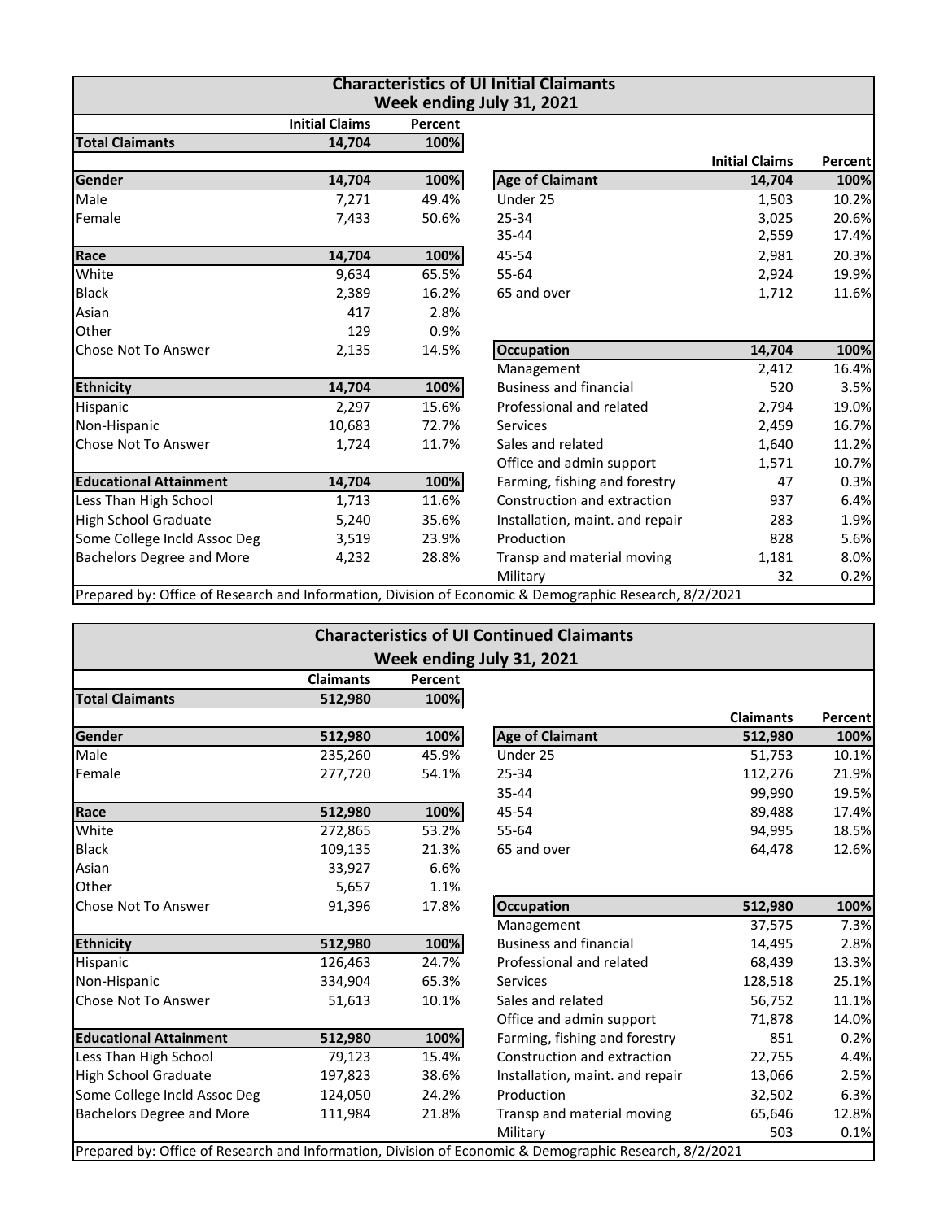| <b>Characteristics of UI Initial Claimants</b><br>Week ending July 31, 2021 |                       |         |                                                                                                        |                       |         |  |  |
|-----------------------------------------------------------------------------|-----------------------|---------|--------------------------------------------------------------------------------------------------------|-----------------------|---------|--|--|
|                                                                             | <b>Initial Claims</b> | Percent |                                                                                                        |                       |         |  |  |
| <b>Total Claimants</b>                                                      | 14,704                | 100%    |                                                                                                        |                       |         |  |  |
|                                                                             |                       |         |                                                                                                        | <b>Initial Claims</b> | Percent |  |  |
| Gender                                                                      | 14,704                | 100%    | <b>Age of Claimant</b>                                                                                 | 14,704                | 100%    |  |  |
| Male                                                                        | 7,271                 | 49.4%   | Under 25                                                                                               | 1,503                 | 10.2%   |  |  |
| Female                                                                      | 7,433                 | 50.6%   | 25-34                                                                                                  | 3,025                 | 20.6%   |  |  |
|                                                                             |                       |         | 35-44                                                                                                  | 2,559                 | 17.4%   |  |  |
| Race                                                                        | 14,704                | 100%    | 45-54                                                                                                  | 2,981                 | 20.3%   |  |  |
| White                                                                       | 9,634                 | 65.5%   | 55-64                                                                                                  | 2,924                 | 19.9%   |  |  |
| <b>Black</b>                                                                | 2,389                 | 16.2%   | 65 and over                                                                                            | 1,712                 | 11.6%   |  |  |
| Asian                                                                       | 417                   | 2.8%    |                                                                                                        |                       |         |  |  |
| Other                                                                       | 129                   | 0.9%    |                                                                                                        |                       |         |  |  |
| <b>Chose Not To Answer</b>                                                  | 2,135                 | 14.5%   | <b>Occupation</b>                                                                                      | 14,704                | 100%    |  |  |
|                                                                             |                       |         | Management                                                                                             | 2,412                 | 16.4%   |  |  |
| <b>Ethnicity</b>                                                            | 14,704                | 100%    | <b>Business and financial</b>                                                                          | 520                   | 3.5%    |  |  |
| Hispanic                                                                    | 2,297                 | 15.6%   | Professional and related                                                                               | 2,794                 | 19.0%   |  |  |
| Non-Hispanic                                                                | 10,683                | 72.7%   | <b>Services</b>                                                                                        | 2,459                 | 16.7%   |  |  |
| <b>Chose Not To Answer</b>                                                  | 1,724                 | 11.7%   | Sales and related                                                                                      | 1,640                 | 11.2%   |  |  |
|                                                                             |                       |         | Office and admin support                                                                               | 1,571                 | 10.7%   |  |  |
| <b>Educational Attainment</b>                                               | 14,704                | 100%    | Farming, fishing and forestry                                                                          | 47                    | 0.3%    |  |  |
| Less Than High School                                                       | 1,713                 | 11.6%   | Construction and extraction                                                                            | 937                   | 6.4%    |  |  |
| <b>High School Graduate</b>                                                 | 5,240                 | 35.6%   | Installation, maint. and repair                                                                        | 283                   | 1.9%    |  |  |
| Some College Incld Assoc Deg                                                | 3,519                 | 23.9%   | Production                                                                                             | 828                   | 5.6%    |  |  |
| <b>Bachelors Degree and More</b>                                            | 4,232                 | 28.8%   | Transp and material moving                                                                             | 1,181                 | 8.0%    |  |  |
|                                                                             |                       |         | Military                                                                                               | 32                    | 0.2%    |  |  |
|                                                                             |                       |         | Prepared by: Office of Research and Information, Division of Economic & Demographic Research, 8/2/2021 |                       |         |  |  |

| <b>Characteristics of UI Continued Claimants</b> |         |       |                                                                                                        |                  |                |  |  |  |
|--------------------------------------------------|---------|-------|--------------------------------------------------------------------------------------------------------|------------------|----------------|--|--|--|
| Week ending July 31, 2021                        |         |       |                                                                                                        |                  |                |  |  |  |
| <b>Claimants</b><br>Percent                      |         |       |                                                                                                        |                  |                |  |  |  |
| <b>Total Claimants</b>                           | 512,980 | 100%  |                                                                                                        |                  |                |  |  |  |
|                                                  |         |       |                                                                                                        | <b>Claimants</b> | <b>Percent</b> |  |  |  |
| Gender                                           | 512,980 | 100%  | <b>Age of Claimant</b>                                                                                 | 512,980          | 100%           |  |  |  |
| Male                                             | 235,260 | 45.9% | Under 25                                                                                               | 51,753           | 10.1%          |  |  |  |
| Female                                           | 277,720 | 54.1% | 25-34                                                                                                  | 112,276          | 21.9%          |  |  |  |
|                                                  |         |       | 35-44                                                                                                  | 99,990           | 19.5%          |  |  |  |
| Race                                             | 512,980 | 100%  | 45-54                                                                                                  | 89,488           | 17.4%          |  |  |  |
| White                                            | 272,865 | 53.2% | 55-64                                                                                                  | 94,995           | 18.5%          |  |  |  |
| <b>Black</b>                                     | 109,135 | 21.3% | 65 and over                                                                                            | 64,478           | 12.6%          |  |  |  |
| Asian                                            | 33,927  | 6.6%  |                                                                                                        |                  |                |  |  |  |
| Other                                            | 5,657   | 1.1%  |                                                                                                        |                  |                |  |  |  |
| <b>Chose Not To Answer</b>                       | 91,396  | 17.8% | <b>Occupation</b>                                                                                      | 512,980          | 100%           |  |  |  |
|                                                  |         |       | Management                                                                                             | 37,575           | 7.3%           |  |  |  |
| <b>Ethnicity</b>                                 | 512,980 | 100%  | <b>Business and financial</b>                                                                          | 14,495           | 2.8%           |  |  |  |
| Hispanic                                         | 126,463 | 24.7% | Professional and related                                                                               | 68,439           | 13.3%          |  |  |  |
| Non-Hispanic                                     | 334,904 | 65.3% | <b>Services</b>                                                                                        | 128,518          | 25.1%          |  |  |  |
| Chose Not To Answer                              | 51,613  | 10.1% | Sales and related                                                                                      | 56,752           | 11.1%          |  |  |  |
|                                                  |         |       | Office and admin support                                                                               | 71,878           | 14.0%          |  |  |  |
| <b>Educational Attainment</b>                    | 512,980 | 100%  | Farming, fishing and forestry                                                                          | 851              | 0.2%           |  |  |  |
| Less Than High School                            | 79,123  | 15.4% | Construction and extraction                                                                            | 22,755           | 4.4%           |  |  |  |
| High School Graduate                             | 197,823 | 38.6% | Installation, maint. and repair                                                                        | 13,066           | 2.5%           |  |  |  |
| Some College Incld Assoc Deg                     | 124,050 | 24.2% | Production                                                                                             | 32,502           | 6.3%           |  |  |  |
| <b>Bachelors Degree and More</b>                 | 111,984 | 21.8% | Transp and material moving                                                                             | 65,646           | 12.8%          |  |  |  |
|                                                  |         |       | Military                                                                                               | 503              | 0.1%           |  |  |  |
|                                                  |         |       | Prepared by: Office of Research and Information, Division of Economic & Demographic Research, 8/2/2021 |                  |                |  |  |  |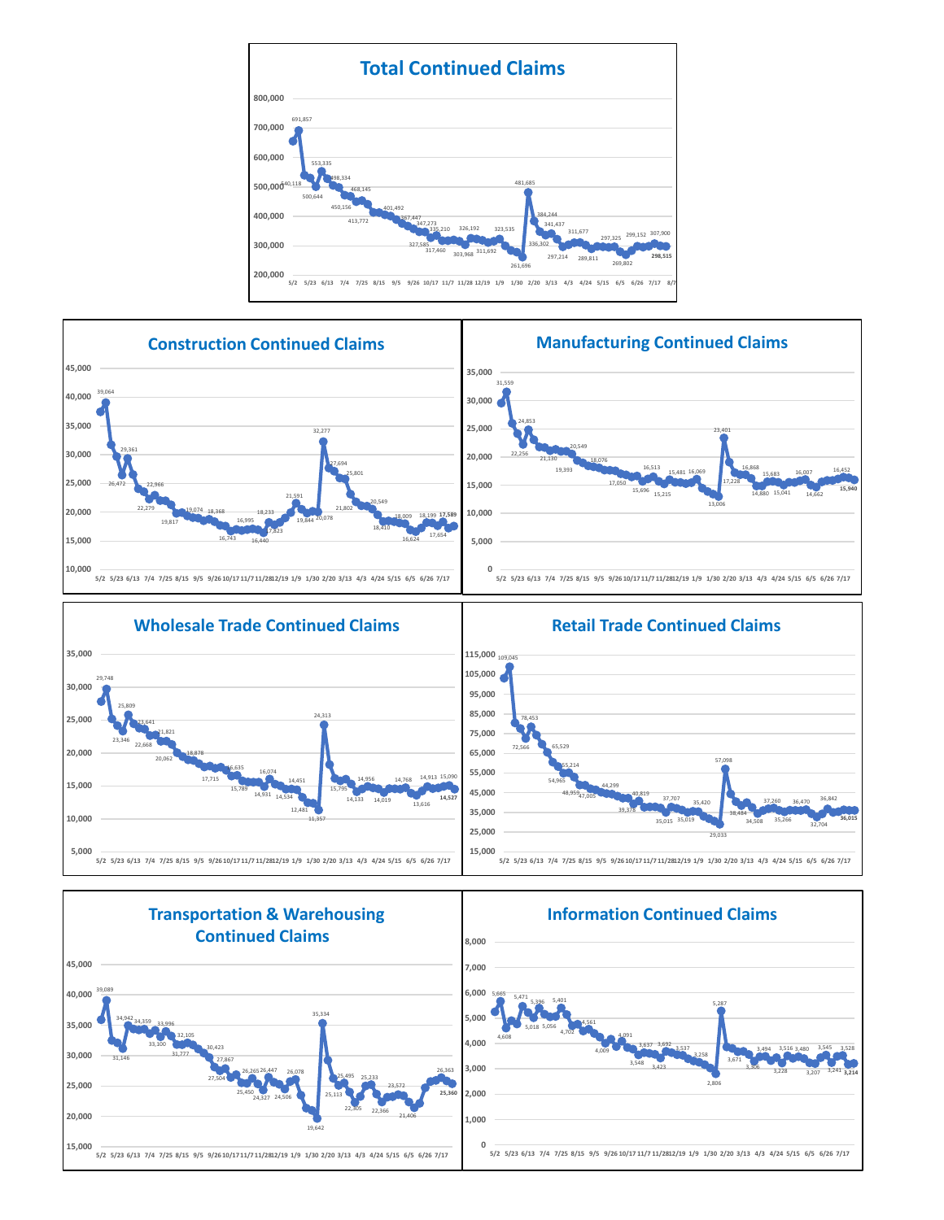